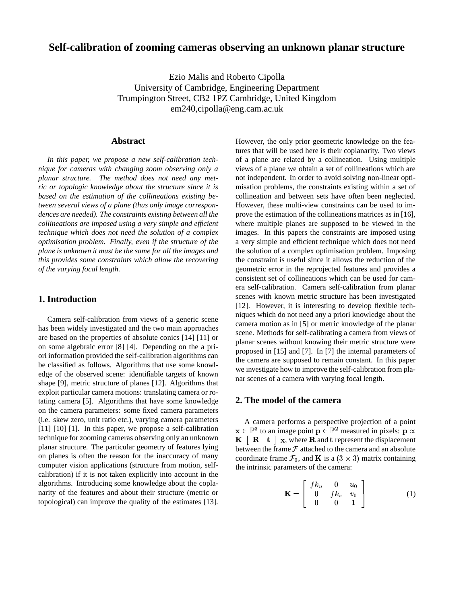# **Self-calibration of zooming cameras observing an unknown planar structure**

Ezio Malis and Roberto Cipolla University of Cambridge, Engineering Department Trumpington Street, CB2 1PZ Cambridge, United Kingdom em240,cipolla@eng.cam.ac.uk

### **Abstract**

*In this paper, we propose a new self-calibration technique for cameras with changing zoom observing only a planar structure. The method does not need any metric or topologic knowledge about the structure since it is based on the estimation of the collineations existing between several views of a plane (thus only image correspondences are needed). The constraints existing between all the collineations are imposed using a very simple and efficient technique which does not need the solution of a complex optimisation problem. Finally, even if the structure of the plane is unknown it must be the same for all the images and this provides some constraints which allow the recovering of the varying focal length.*

## **1. Introduction**

Camera self-calibration from views of a generic scene has been widely investigated and the two main approaches are based on the properties of absolute conics [14] [11] or on some algebraic error [8] [4]. Depending on the a priori information provided the self-calibration algorithms can be classified as follows. Algorithms that use some knowledge of the observed scene: identifiable targets of known shape [9], metric structure of planes [12]. Algorithms that exploit particular camera motions: translating camera or rotating camera [5]. Algorithms that have some knowledge on the camera parameters: some fixed camera parameters (i.e. skew zero, unit ratio etc.), varying camera parameters [11] [10] [1]. In this paper, we propose a self-calibration technique for zooming cameras observing only an unknown planar structure. The particular geometry of features lying on planes is often the reason for the inaccuracy of many computer vision applications (structure from motion, selfcalibration) if it is not taken explicitly into account in the algorithms. Introducing some knowledge about the coplanarity of the features and about their structure (metric or topological) can improve the quality of the estimates [13]. However, the only prior geometric knowledge on the features that will be used here is their coplanarity. Two views of a plane are related by a collineation. Using multiple views of a plane we obtain a set of collineations which are not independent. In order to avoid solving non-linear optimisation problems, the constraints existing within a set of collineation and between sets have often been neglected. However, these multi-view constraints can be used to improve the estimation of the collineations matrices as in [16], where multiple planes are supposed to be viewed in the images. In this papers the constraints are imposed using a very simple and efficient technique which does not need the solution of a complex optimisation problem. Imposing the constraint is useful since it allows the reduction of the geometric error in the reprojected features and provides a consistent set of collineations which can be used for camera self-calibration. Camera self-calibration from planar scenes with known metric structure has been investigated [12]. However, it is interesting to develop flexible techniques which do not need any a priori knowledge about the camera motion as in [5] or metric knowledge of the planar scene. Methods for self-calibrating a camera from views of planar scenes without knowing their metric structure were proposed in [15] and [7]. In [7] the internal parameters of the camera are supposed to remain constant. In this paper we investigate how to improve the self-calibration from planar scenes of a camera with varying focal length.

## **2. The model of the camera**

A camera performs a perspective projection of a point  $\mathbf{x} \in \mathbb{P}^3$  to an image point  $\mathbf{p} \in \mathbb{P}^2$  measured in pixels:  $\mathbf{p} \propto$  $\mathbf{K} \left[ \begin{array}{cc} \mathbf{R} & \mathbf{t} \end{array} \right] \mathbf{x}$ , where  $\mathbf{R}$  and  $\mathbf{t}$  represent the displacement between the frame  $\mathcal F$  attached to the camera and an absolute coordinate frame  $\mathcal{F}_0$ , and **K** is a  $(3 \times 3)$  matrix containing the intrinsic parameters of the camera:

$$
\mathbf{K} = \left[ \begin{array}{ccc} f k_u & 0 & u_0 \\ 0 & f k_v & v_0 \\ 0 & 0 & 1 \end{array} \right] \tag{1}
$$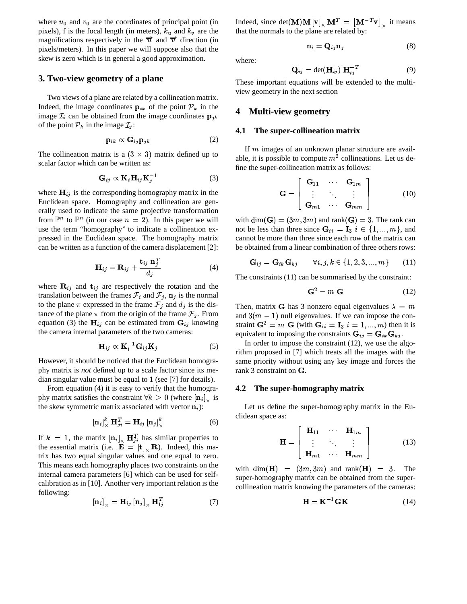where  $u_0$  and  $v_0$  are the coordinates of principal point (in pixels), f is the focal length (in meters),  $k_u$  and  $k_v$  are the magnifications respectively in the  $\vec{u}$  and  $\vec{v}$  direction (in pixels/meters). In this paper we will suppose also that the skew is zero which is in general a good approximation.

#### **3. Two-view geometry of a plane**

Two views of a plane are related by a collineation matrix. Indeed, the image coordinates  $\mathbf{p}_{ik}$  of the point  $\mathcal{P}_k$  in the image  $\mathcal{I}_i$  can be obtained from the image coordinates  $\mathbf{p}_{jk}$ of the point  $P_k$  in the image  $\mathcal{I}_j$ :

$$
\mathbf{p}_{ik} \propto \mathbf{G}_{ij} \mathbf{p}_{jk} \tag{2}
$$

The collineation matrix is a  $(3 \times 3)$  matrix defined up to scalar factor which can be written as:

$$
\mathbf{G}_{ij} \propto \mathbf{K}_i \mathbf{H}_{ij} \mathbf{K}_j^{-1} \tag{3}
$$

where  $H_{ij}$  is the corresponding homography matrix in the Euclidean space. Homography and collineation are generally used to indicate the same projective transformation from  $\mathbb{P}^n$  to  $\mathbb{P}^n$  (in our case  $n = 2$ ). In this paper we will use the term "homography" to indicate a collineation expressed in the Euclidean space. The homography matrix can be written as a function of the camera displacement [2]:

$$
\mathbf{H}_{ij} = \mathbf{R}_{ij} + \frac{\mathbf{t}_{ij} \mathbf{n}_j^T}{d_j} \tag{4}
$$

where  $\mathbf{R}_{ij}$  and  $\mathbf{t}_{ij}$  are respectively the rotation and the translation between the frames  $\mathcal{F}_i$  and  $\mathcal{F}_i$ ,  $\mathbf{n}_i$  is the normal to the plane  $\pi$  expressed in the frame  $\mathcal{F}_i$  and  $d_i$  is the distance of the plane  $\pi$  from the origin of the frame  $\mathcal{F}_j$ . From equation (3) the  $H_{ij}$  can be estimated from  $G_{ij}$  knowing the camera internal parameters of the two cameras:

$$
\mathbf{H}_{ij} \propto \mathbf{K}_i^{-1} \mathbf{G}_{ij} \mathbf{K}_j \tag{5}
$$

However, it should be noticed that the Euclidean homography matrix is *not* defined up to a scale factor since its median singular value must be equal to 1 (see [7] for details).

From equation (4) it is easy to verify that the homography matrix satisfies the constraint  $\forall k > 0$  (where  $\left[\mathbf{n}_i\right]_{\times}$  is the skew symmetric matrix associated with vector  $\mathbf{n}_i$ ):

$$
\left[\mathbf{n}_i\right]_{\times}^k \mathbf{H}_{ji}^T = \mathbf{H}_{ij} \left[\mathbf{n}_j\right]_{\times}^k \tag{6}
$$

If  $k = 1$ , the matrix  $\left[\mathbf{n}_i\right]_{\times} \mathbf{H}_{ji}^T$  has similar properties to the essential matrix (i.e.  $\mathbf{E} = [\mathbf{t}] \times \mathbf{R}$ ). Indeed, this matrix has two equal singular values and one equal to zero. This means each homography places two constraints on the internal camera parameters [6] which can be used for selfcalibration as in [10]. Another very important relation is the following:

$$
\left[\mathbf{n}_{i}\right]_{\times} = \mathbf{H}_{ij} \left[\mathbf{n}_{j}\right]_{\times} \mathbf{H}_{ij}^{T} \tag{7}
$$

Indeed, since  $det(\mathbf{M})\mathbf{M}[\mathbf{v}]_{\times} \mathbf{M}^T = [\mathbf{M}^{-T}\mathbf{v}]_{\times}$  it means that the normals to the plane are related by:

$$
\mathbf{n}_i = \mathbf{Q}_{ij}\mathbf{n}_j \tag{8}
$$

where:

$$
\mathbf{Q}_{ij} = \det(\mathbf{H}_{ij}) \ \mathbf{H}_{ij}^{-T} \tag{9}
$$

These important equations will be extended to the multiview geometry in the next section

#### **4 Multi-view geometry**

#### **4.1 The super-collineation matrix**

If  $m$  images of an unknown planar structure are available, it is possible to compute  $m^2$  collineations. Let us define the super-collineation matrix as follows:

$$
\mathbf{G} = \left[ \begin{array}{ccc} \mathbf{G}_{11} & \cdots & \mathbf{G}_{1m} \\ \vdots & \ddots & \vdots \\ \mathbf{G}_{m1} & \cdots & \mathbf{G}_{mm} \end{array} \right] \tag{10}
$$

with  $\dim(\mathbf{G}) = (3m, 3m)$  and rank $(\mathbf{G}) = 3$ . The rank can not be less than three since  $\mathbf{G}_{ii} = \mathbf{I}_3$   $i \in \{1, ..., m\}$ , and . cannot be more than three since each row of the matrix can be obtained from a linear combination of three others rows:

$$
\mathbf{G}_{ij} = \mathbf{G}_{ik}\mathbf{G}_{kj} \qquad \forall i, j, k \in \{1, 2, 3, ..., m\} \qquad (11)
$$

The constraints (11) can be summarised by the constraint:

$$
\mathbf{G}^2 = m \mathbf{G} \tag{12}
$$

Then, matrix **G** has 3 nonzero equal eigenvalues  $\lambda = m$ and  $3(m - 1)$  null eigenvalues. If we can impose the constraint  $\mathbf{G}^2 = m \mathbf{G}$  (with  $\mathbf{G}_{ii} = \mathbf{I}_3$   $i = 1, ..., m$ ) then it is equivalent to imposing the constraints  $G_{ij} = G_{ik} G_{kj}$ .

In order to impose the constraint (12), we use the algorithm proposed in [7] which treats all the images with the same priority without using any key image and forces the rank  $3$  constraint on  $G$ .

#### **4.2 The super-homography matrix**

Let us define the super-homography matrix in the Euclidean space as:

$$
\mathbf{H} = \left[ \begin{array}{ccc} \mathbf{H}_{11} & \cdots & \mathbf{H}_{1m} \\ \vdots & \ddots & \vdots \\ \mathbf{H}_{m1} & \cdots & \mathbf{H}_{mm} \end{array} \right] \tag{13}
$$

with  $\dim(\mathbf{H}) = (3m, 3m)$  and rank  $(\mathbf{H}) = 3$ . The super-homography matrix can be obtained from the supercollineation matrix knowing the parameters of the cameras:

$$
\mathbf{H} = \mathbf{K}^{-1} \mathbf{G} \mathbf{K} \tag{14}
$$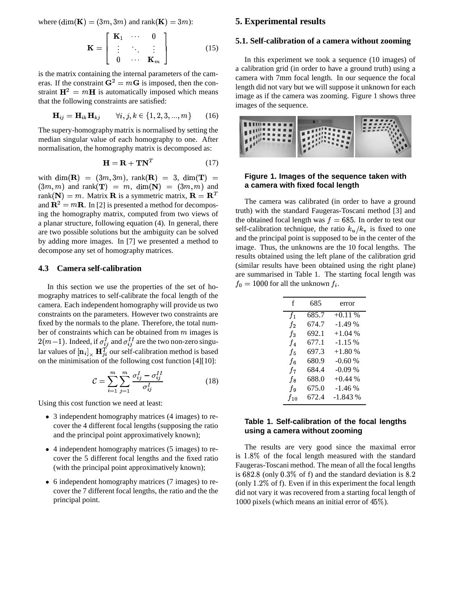where  $(\dim(\mathbf{K}) = (3m, 3m)$  and rank $(\mathbf{K}) = 3m$ :

$$
\mathbf{K} = \left[ \begin{array}{ccc} \mathbf{K}_1 & \cdots & 0 \\ \vdots & \ddots & \vdots \\ 0 & \cdots & \mathbf{K}_m \end{array} \right] \tag{15}
$$

is the matrix containing the internal parameters of the cameras. If the constraint  $G^2 = mG$  is imposed, then the constraint  $\mathbf{H}^2 = m\mathbf{H}$  is automatically imposed which means that the following constraints are satisfied:

$$
\mathbf{H}_{ij} = \mathbf{H}_{ik}\mathbf{H}_{kj} \qquad \forall i, j, k \in \{1, 2, 3, ..., m\} \qquad (16)
$$

The supery-homographymatrix is normalised by setting the median singular value of each homography to one. After normalisation, the homography matrix is decomposed as:

$$
\mathbf{H} = \mathbf{R} + \mathbf{T} \mathbf{N}^T \tag{17}
$$

with  $\dim(\mathbf{R}) = (3m, 3m)$ ,  $rank(\mathbf{R}) = 3$ ,  $dim(\mathbf{T}) =$  Figur  $(3m, m)$  and rank $(\mathbf{T}) = m$ ,  $\dim(\mathbf{N}) = (3m, m)$  and rank $(\mathbf{N}) = m$ . Matrix **R** is a symmetric matrix,  $\mathbf{R} = \mathbf{R}^T$ and  $\mathbf{R}^2 = m\mathbf{R}$ . In [2] is presented a method for decomposing the homography matrix, computed from two views of a planar structure, following equation (4). In general, there are two possible solutions but the ambiguity can be solved by adding more images. In [7] we presented a method to decompose any set of homography matrices.

## **4.3 Camera self-calibration**

In this section we use the properties of the set of homography matrices to self-calibrate the focal length of the camera. Each independent homography will provide us two constraints on the parameters. However two constraints are fixed by the normals to the plane. Therefore, the total number of constraints which can be obtained from  $m$  images is  $2(m-1)$ . Indeed, if  $\sigma_{ij}^I$  and  $\sigma_{ij}^{II}$  are the two non-zero singular values of  $\left[\mathbf{n}_i\right]_{\times} \mathbf{H}_{ii}^T$  our self-calibration method is based on the minimisation of the following cost function [4][10]:

$$
\mathcal{C} = \sum_{i=1}^{m} \sum_{j=1}^{m} \frac{\sigma_{ij}^{I} - \sigma_{ij}^{II}}{\sigma_{ij}^{I}}
$$
(18)

Using this cost function we need at least:

- 3 independent homography matrices (4 images) to recover the 4 different focal lengths (supposing the ratio and the principal point approximatively known);
- 4 independent homography matrices (5 images) to recover the 5 different focal lengths and the fixed ratio (with the principal point approximatively known);
- 6 independent homography matrices (7 images) to recover the 7 different focal lengths, the ratio and the the principal point.

### **5. Experimental results**

### **5.1. Self-calibration of a camera without zooming**

In this experiment we took a sequence (10 images) of a calibration grid (in order to have a ground truth) using a camera with 7mm focal length. In our sequence the focal length did not vary but we will suppose it unknown for each image as if the camera was zooming. Figure 1 shows three images of the sequence.



#### **Figure 1. Images of the sequence taken with a camera with fixed focal length**

The camera was calibrated (in order to have a ground truth) with the standard Faugeras-Toscani method [3] and the obtained focal length was  $f = 685$ . In order to test our self-calibration technique, the ratio  $k_u/k_v$  is fixed to one and the principal point is supposed to be in the center of the image. Thus, the unknowns are the 10 focal lengths. The results obtained using the left plane of the calibration grid (similar results have been obtained using the right plane) are summarised in Table 1. The starting focal length was  $f_0 = 1000$  for all the unknown  $f_i$ .

| f              | 685   | error     |
|----------------|-------|-----------|
| $f_1$          | 685.7 | $+0.11%$  |
| $f_2$          | 674.7 | $-1.49%$  |
| $f_3$          | 692.1 | $+1.04%$  |
| f <sub>4</sub> | 677.1 | $-1.15%$  |
| $f_{5}$        | 697.3 | $+1.80%$  |
| fв             | 680.9 | $-0.60%$  |
| $f_7$          | 684.4 | $-0.09\%$ |
| fв             | 688.0 | $+0.44\%$ |
| fэ             | 675.0 | $-1.46%$  |
| $f_{10}$       | 672.4 | $-1.843%$ |
|                |       |           |

### **Table 1. Self-calibration of the focal lengths using a camera without zooming**

The results are very good since the maximal error is  $1.8\%$  of the focal length measured with the standard . Faugeras-Toscani method. The mean of all the focal lengths is  $682.8$  (only  $0.3\%$  of f) and the standard deviation is  $8.2$ (only  $1.2\%$  of f). Even if in this experiment the focal length . did not vary it was recovered from a starting focal length of 1000 pixels (which means an initial error of  $45\%$ ).